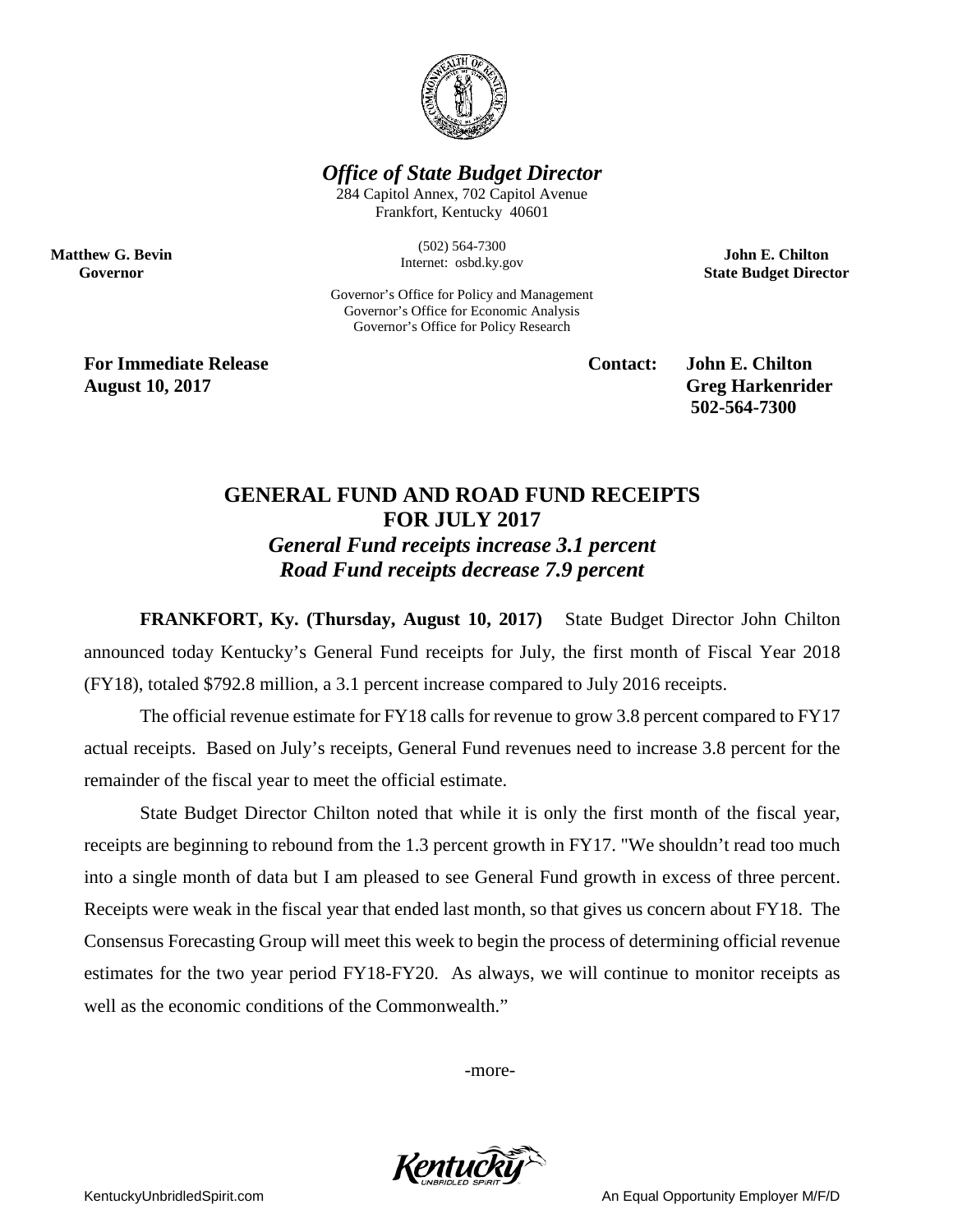

## *Office of State Budget Director*

284 Capitol Annex, 702 Capitol Avenue Frankfort, Kentucky 40601

> (502) 564-7300 Internet: osbd.ky.gov

Governor's Office for Policy and Management Governor's Office for Economic Analysis Governor's Office for Policy Research

**John E. Chilton State Budget Director**

**For Immediate Release Contact: John E. Chilton August 10, 2017** Greg Harkenrider

**Matthew G. Bevin Governor**

**502-564-7300** 

## **GENERAL FUND AND ROAD FUND RECEIPTS FOR JULY 2017** *General Fund receipts increase 3.1 percent*

*Road Fund receipts decrease 7.9 percent*

**FRANKFORT, Ky. (Thursday, August 10, 2017)** State Budget Director John Chilton announced today Kentucky's General Fund receipts for July, the first month of Fiscal Year 2018 (FY18), totaled \$792.8 million, a 3.1 percent increase compared to July 2016 receipts.

The official revenue estimate for FY18 calls for revenue to grow 3.8 percent compared to FY17 actual receipts. Based on July's receipts, General Fund revenues need to increase 3.8 percent for the remainder of the fiscal year to meet the official estimate.

State Budget Director Chilton noted that while it is only the first month of the fiscal year, receipts are beginning to rebound from the 1.3 percent growth in FY17. "We shouldn't read too much into a single month of data but I am pleased to see General Fund growth in excess of three percent. Receipts were weak in the fiscal year that ended last month, so that gives us concern about FY18. The Consensus Forecasting Group will meet this week to begin the process of determining official revenue estimates for the two year period FY18-FY20. As always, we will continue to monitor receipts as well as the economic conditions of the Commonwealth."

-more-



KentuckyUnbridledSpirit.com **An Equal Opportunity Employer M/F/D** An Equal Opportunity Employer M/F/D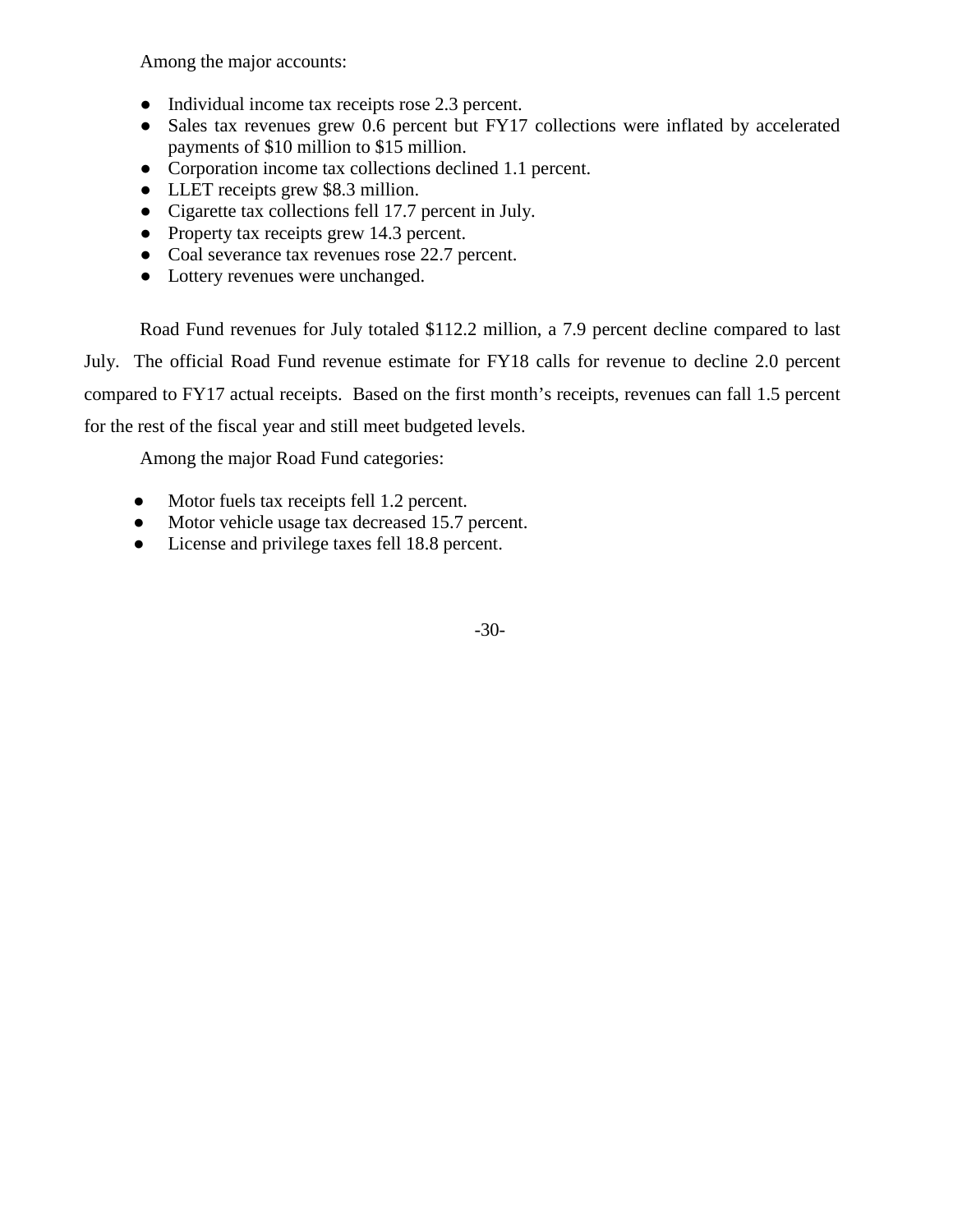Among the major accounts:

- Individual income tax receipts rose 2.3 percent.
- Sales tax revenues grew 0.6 percent but FY17 collections were inflated by accelerated payments of \$10 million to \$15 million.
- Corporation income tax collections declined 1.1 percent.
- LLET receipts grew \$8.3 million.
- Cigarette tax collections fell 17.7 percent in July.
- Property tax receipts grew 14.3 percent.
- Coal severance tax revenues rose 22.7 percent.
- Lottery revenues were unchanged.

Road Fund revenues for July totaled \$112.2 million, a 7.9 percent decline compared to last July. The official Road Fund revenue estimate for FY18 calls for revenue to decline 2.0 percent compared to FY17 actual receipts. Based on the first month's receipts, revenues can fall 1.5 percent for the rest of the fiscal year and still meet budgeted levels.

Among the major Road Fund categories:

- Motor fuels tax receipts fell 1.2 percent.
- Motor vehicle usage tax decreased 15.7 percent.
- License and privilege taxes fell 18.8 percent.

-30-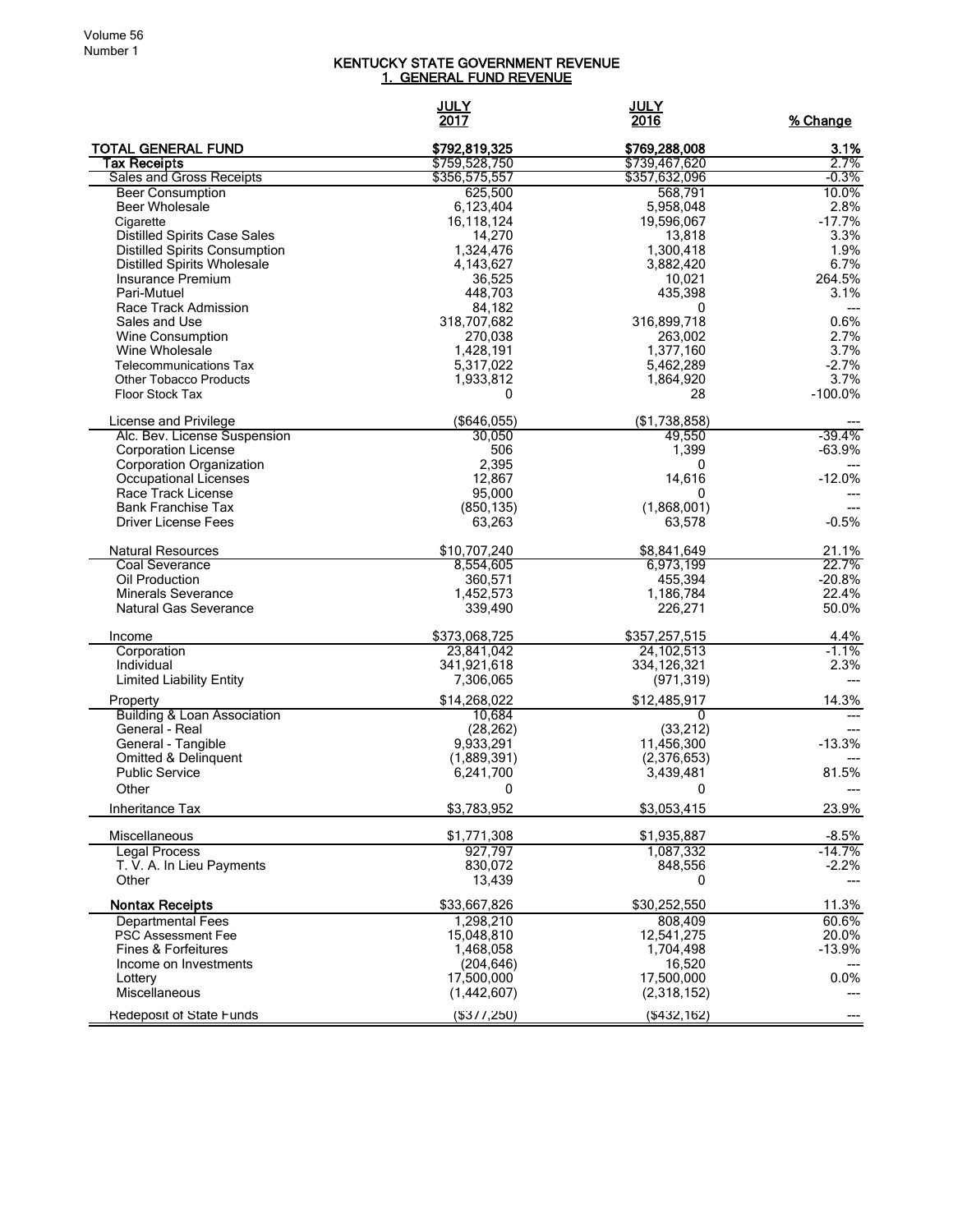## KENTUCKY STATE GOVERNMENT REVENUE <u>1. GENERAL FUND REVENUE</u>

|                                                          | <u>JULY</u><br>2017    | <b>JULY</b><br>2016  | % Change            |
|----------------------------------------------------------|------------------------|----------------------|---------------------|
| <b>TOTAL GENERAL FUND</b>                                | \$792,819,325          | \$769,288,008        | 3.1%                |
| <b>Tax Receipts</b>                                      | \$759,528,750          | \$739,467,620        | 2.7%                |
| Sales and Gross Receipts                                 | \$356,575,557          | \$357,632,096        | $-0.3%$             |
| <b>Beer Consumption</b>                                  | 625,500                | 568,791              | 10.0%               |
| <b>Beer Wholesale</b>                                    | 6,123,404              | 5,958,048            | 2.8%                |
| Cigarette<br><b>Distilled Spirits Case Sales</b>         | 16,118,124<br>14,270   | 19,596,067<br>13,818 | $-17.7%$<br>3.3%    |
| <b>Distilled Spirits Consumption</b>                     | 1,324,476              | 1,300,418            | 1.9%                |
| <b>Distilled Spirits Wholesale</b>                       | 4,143,627              | 3,882,420            | 6.7%                |
| Insurance Premium                                        | 36,525                 | 10,021               | 264.5%              |
| Pari-Mutuel                                              | 448,703                | 435,398              | 3.1%                |
| Race Track Admission                                     | 84,182                 | 0                    |                     |
| Sales and Use                                            | 318,707,682            | 316,899,718          | 0.6%                |
| Wine Consumption                                         | 270,038                | 263,002              | 2.7%                |
| Wine Wholesale                                           | 1,428,191              | 1,377,160            | 3.7%                |
| <b>Telecommunications Tax</b>                            | 5,317,022              | 5,462,289            | $-2.7%$             |
| <b>Other Tobacco Products</b>                            | 1,933,812              | 1,864,920            | 3.7%                |
| <b>Floor Stock Tax</b>                                   | 0                      | 28                   | $-100.0%$           |
| License and Privilege                                    | (\$646,055)            | (\$1,738,858)        |                     |
| Alc. Bev. License Suspension                             | 30,050                 | 49,550               | $-39.4%$            |
| <b>Corporation License</b>                               | 506                    | 1,399                | $-63.9%$            |
| Corporation Organization                                 | 2,395                  | 0                    |                     |
| Occupational Licenses                                    | 12,867                 | 14,616               | $-12.0%$            |
| Race Track License                                       | 95,000                 | 0                    |                     |
| <b>Bank Franchise Tax</b><br><b>Driver License Fees</b>  | (850, 135)             | (1,868,001)          |                     |
|                                                          | 63,263                 | 63,578               | $-0.5%$             |
| <b>Natural Resources</b>                                 | \$10,707,240           | \$8,841,649          | 21.1%               |
| Coal Severance                                           | 8,554,605              | 6,973,199            | 22.7%               |
| Oil Production                                           | 360,571                | 455,394              | $-20.8%$            |
| <b>Minerals Severance</b>                                | 1,452,573              | 1,186,784            | 22.4%               |
| Natural Gas Severance                                    | 339,490                | 226,271              | 50.0%               |
| Income                                                   | \$373,068,725          | \$357,257,515        | 4.4%                |
| Corporation                                              | 23,841,042             | 24, 102, 513         | $-1.1%$             |
| Individual                                               | 341,921,618            | 334,126,321          | 2.3%                |
| <b>Limited Liability Entity</b>                          | 7,306,065              | (971, 319)           |                     |
| Property                                                 | \$14,268,022           | \$12,485,917         | 14.3%               |
| <b>Building &amp; Loan Association</b><br>General - Real | 10,684<br>(28, 262)    | 0<br>(33, 212)       |                     |
| General - Tangible                                       | 9,933,291              | 11,456,300           | $-13.3%$            |
| Omitted & Delinquent                                     | (1,889,391)            | (2,376,653)          |                     |
| <b>Public Service</b>                                    | 6,241,700              | 3,439,481            | 81.5%               |
| Other                                                    | 0                      | 0                    |                     |
| Inheritance Tax                                          | \$3,783,952            | \$3,053,415          | 23.9%               |
| Miscellaneous                                            |                        | \$1,935,887          |                     |
| <b>Legal Process</b>                                     | \$1,771,308<br>927,797 | 1,087,332            | $-8.5%$<br>$-14.7%$ |
| T. V. A. In Lieu Payments                                | 830,072                | 848,556              | $-2.2%$             |
| Other                                                    | 13,439                 | 0                    |                     |
| <b>Nontax Receipts</b>                                   | \$33,667,826           | \$30,252,550         | 11.3%               |
| <b>Departmental Fees</b>                                 | 1,298,210              | 808,409              | 60.6%               |
| PSC Assessment Fee                                       | 15,048,810             | 12,541,275           | 20.0%               |
| Fines & Forfeitures                                      | 1,468,058              | 1,704,498            | $-13.9%$            |
| Income on Investments                                    | (204, 646)             | 16,520               |                     |
| Lottery                                                  | 17,500,000             | 17,500,000           | 0.0%                |
| Miscellaneous                                            | (1,442,607)            | (2,318,152)          |                     |
| Redeposit of State Funds                                 | (\$377,250)            | ( \$432, 162)        |                     |